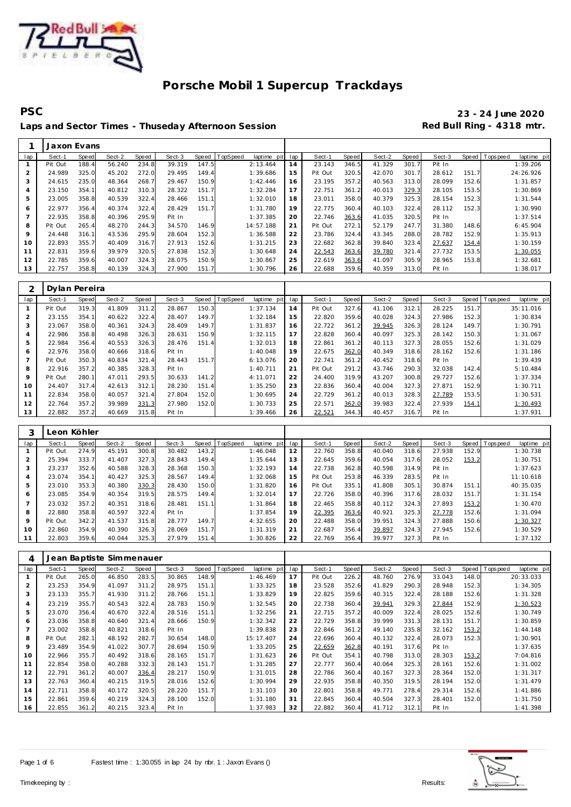

 $\mathsf{r}$ 

# **Porsche Mobil 1 Supercup Trackdays**

**PSC 23 - 24 June 2020** Laps and Sector Times - Thuseday Afternoon Session **Red Bull Ring - 4318 mtr.** 

|                | Jaxon Evans |       |        |       |        |       |                  |             |     |         |       |        |       |        |       |                |             |
|----------------|-------------|-------|--------|-------|--------|-------|------------------|-------------|-----|---------|-------|--------|-------|--------|-------|----------------|-------------|
| lap            | Sect-1      | Speed | Sect-2 | Speed | Sect-3 |       | Speed   TopSpeed | laptime pit | lap | Sect-1  | Speed | Sect-2 | Speed | Sect-3 |       | Speed Topspeed | laptime pit |
|                | Pit Out     | 188.4 | 56.240 | 234.8 | 39.319 | 147.5 |                  | 2:13.464    | 14  | 23.143  | 346.5 | 41.329 | 301.7 | Pit In |       |                | 1:39.206    |
|                | 24.989      | 325.0 | 45.202 | 272.0 | 29.495 | 149.4 |                  | 1:39.686    | 15  | Pit Out | 320.5 | 42.070 | 301.7 | 28.612 | 151.7 |                | 24:26.926   |
| 3              | 24.615      | 235.0 | 48.364 | 268.7 | 29.467 | 150.9 |                  | 1:42.446    | 16  | 23.195  | 357.2 | 40.563 | 313.0 | 28.099 | 152.6 |                | 1:31.857    |
| $\overline{4}$ | 23.150      | 354.1 | 40.812 | 310.3 | 28.322 | 151.7 |                  | 1:32.284    | 17  | 22.751  | 361.2 | 40.013 | 329.3 | 28.105 | 153.5 |                | 1:30.869    |
| 5              | 23.005      | 358.8 | 40.539 | 322.4 | 28.466 | 151.1 |                  | 1:32.010    | 18  | 23.011  | 358.0 | 40.379 | 325.3 | 28.154 | 152.3 |                | 1:31.544    |
| 6              | 22.977      | 356.4 | 40.374 | 322.4 | 28.429 | 151.7 |                  | 1:31.780    | 19  | 22.775  | 360.4 | 40.103 | 322.4 | 28.112 | 152.3 |                | 1:30.990    |
|                | 22.935      | 358.8 | 40.396 | 295.9 | Pit In |       |                  | 1:37.385    | 20  | 22.746  | 363.6 | 41.035 | 320.5 | Pit In |       |                | 1:37.514    |
| 8              | Pit Out     | 265.4 | 48.270 | 244.3 | 34.570 | 146.9 |                  | 14:57.188   | 21  | Pit Out | 272.1 | 52.179 | 247.7 | 31.380 | 148.6 |                | 6:45.904    |
| 9              | 24.448      | 316.1 | 43.536 | 295.9 | 28.604 | 152.3 |                  | 1:36.588    | 22  | 23.786  | 324.4 | 43.345 | 288.0 | 28.782 | 152.9 |                | 1:35.913    |
| 10             | 22.893      | 355.7 | 40.409 | 316.7 | 27.913 | 152.6 |                  | 1:31.215    | 23  | 22.682  | 362.8 | 39.840 | 323.4 | 27.637 | 154.4 |                | 1:30.159    |
| 11             | 22.831      | 359.6 | 39.979 | 320.5 | 27.838 | 152.3 |                  | 1:30.648    | 24  | 22.543  | 363.6 | 39.780 | 321.4 | 27.732 | 153.5 |                | 1:30.055    |
| 12             | 22.785      | 359.6 | 40.007 | 324.3 | 28.075 | 150.9 |                  | 1:30.867    | 25  | 22.619  | 363.6 | 41.097 | 305.9 | 28.965 | 153.8 |                | 1:32.681    |
| 13             | 22.757      | 358.8 | 40.139 | 324.3 | 27.900 | 151.7 |                  | 1:30.796    | 26  | 22.688  | 359.6 | 40.359 | 313.0 | Pit In |       |                | 1:38.017    |

|     | Dylan Pereira |       |        |       |        |       |          |             |     |         |       |        |       |        |       |           |             |
|-----|---------------|-------|--------|-------|--------|-------|----------|-------------|-----|---------|-------|--------|-------|--------|-------|-----------|-------------|
| lap | Sect-1        | Speed | Sect-2 | Speed | Sect-3 | Speed | TopSpeed | laptime pit | lap | Sect-1  | Speed | Sect-2 | Speed | Sect-3 | Speed | Tops peed | laptime pit |
|     | Pit Out       | 319.3 | 41.809 | 311.2 | 28.867 | 150.3 |          | 1:37.134    | 14  | Pit Out | 327.6 | 41.106 | 312.1 | 28.225 | 151.7 |           | 35:11.016   |
| 2   | 23.155        | 354.1 | 40.622 | 322.4 | 28.407 | 149.7 |          | 1:32.184    | 15  | 22.820  | 359.6 | 40.028 | 324.3 | 27.986 | 152.3 |           | 1:30.834    |
| 3   | 23.067        | 358.0 | 40.361 | 324.3 | 28.409 | 149.7 |          | 1:31.837    | 16  | 22.722  | 361.2 | 39.945 | 326.3 | 28.124 | 149.7 |           | 1:30.791    |
| 4   | 22.986        | 358.8 | 40.498 | 326.3 | 28.631 | 150.9 |          | 1:32.115    | 17  | 22.828  | 360.4 | 40.097 | 325.3 | 28.142 | 150.3 |           | 1:31.067    |
| 5   | 22.984        | 356.4 | 40.553 | 326.3 | 28.476 | 151.4 |          | 1:32.013    | 18  | 22.861  | 361.2 | 40.113 | 327.3 | 28.055 | 152.6 |           | 1:31.029    |
| 6   | 22.976        | 358.0 | 40.666 | 318.6 | Pit In |       |          | 1:40.048    | 19  | 22.675  | 362.0 | 40.349 | 318.6 | 28.162 | 152.6 |           | 1:31.186    |
|     | Pit Out       | 350.3 | 40.834 | 321.4 | 28.443 | 151.7 |          | 6:13.076    | 20  | 22.741  | 361.2 | 40.452 | 318.6 | Pit In |       |           | 1:39.439    |
| 8   | 22.916        | 357.2 | 40.385 | 328.3 | Pit In |       |          | 1:40.711    | 21  | Pit Out | 291.2 | 43.746 | 290.3 | 32.038 | 142.4 |           | 5:10.484    |
| 9   | Pit Out       | 280.1 | 47.011 | 293.5 | 30.633 | 141.2 |          | 4:11.071    | 22  | 24.400  | 319.9 | 43.207 | 300.8 | 29.727 | 152.6 |           | 1:37.334    |
| 10  | 24.407        | 317.4 | 42.613 | 312.1 | 28.230 | 151.4 |          | 1:35.250    | 23  | 22.836  | 360.4 | 40.004 | 327.3 | 27.871 | 152.9 |           | 1:30.711    |
| 11  | 22.834        | 358.0 | 40.057 | 321.4 | 27.804 | 152.0 |          | 1:30.695    | 24  | 22.729  | 361.2 | 40.013 | 328.3 | 27.789 | 153.5 |           | 1:30.531    |
| 12  | 22.764        | 357.2 | 39.989 | 331.3 | 27.980 | 152.0 |          | 1:30.733    | 25  | 22.571  | 362.0 | 39.983 | 322.4 | 27.939 | 154.1 |           | 1:30.493    |
| 13  | 22.882        | 357.2 | 40.669 | 315.8 | Pit In |       |          | 1:39.466    | 26  | 22.521  | 344.3 | 40.457 | 316.7 | Pit In |       |           | 1:37.931    |

|     |         | Leon Köhler |        |       |        |       |          |             |     |         |       |        |       |        |       |                            |
|-----|---------|-------------|--------|-------|--------|-------|----------|-------------|-----|---------|-------|--------|-------|--------|-------|----------------------------|
| lap | Sect-1  | Speed       | Sect-2 | Speed | Sect-3 | Speed | TopSpeed | laptime pit | lap | Sect-1  | Speed | Sect-2 | Speed | Sect-3 | Speed | T ops pee d<br>laptime pit |
|     | Pit Out | 274.9       | 45.191 | 300.8 | 30.482 | 143.2 |          | 1:46.048    | 12  | 22.760  | 358.8 | 40.040 | 318.6 | 27.938 | 152.9 | 1:30.738                   |
|     | 25.394  | 333.7       | 41.407 | 327.3 | 28.843 | 149.4 |          | 1:35.644    | 13  | 22.645  | 359.6 | 40.054 | 317.6 | 28.052 | 153.2 | 1:30.751                   |
|     | 23.237  | 352.6       | 40.588 | 328.3 | 28.368 | 150.3 |          | 1:32.193    | 14  | 22.738  | 362.8 | 40.598 | 314.9 | Pit In |       | 1:37.623                   |
| 4   | 23.074  | 354.1       | 40.427 | 325.3 | 28.567 | 149.4 |          | 1:32.068    | 15  | Pit Out | 253.8 | 46.339 | 283.5 | Pit In |       | 11:10.618                  |
| 5   | 23.010  | 353.3       | 40.380 | 330.3 | 28.430 | 150.0 |          | 1:31.820    | 16  | Pit Out | 335.1 | 41.808 | 305.1 | 30.874 | 151.1 | 40:35.035                  |
| 6   | 23.085  | 354.9       | 40.354 | 319.5 | 28.575 | 149.4 |          | 1:32.014    | 17  | 22.726  | 358.0 | 40.396 | 317.6 | 28.032 | 151.7 | 1:31.154                   |
|     | 23.032  | 357.2       | 40.351 | 318.6 | 28.481 | 151.1 |          | 1:31.864    | 18  | 22.465  | 358.8 | 40.112 | 324.3 | 27.893 | 153.2 | 1:30.470                   |
| 8   | 22.880  | 358.8       | 40.597 | 322.4 | Pit In |       |          | 1:37.854    | 19  | 22.395  | 363.6 | 40.921 | 325.3 | 27.778 | 152.6 | 1:31.094                   |
| 9   | Pit Out | 342.2       | 41.537 | 315.8 | 28.777 | 149.7 |          | 4:32.655    | 20  | 22.488  | 358.0 | 39.951 | 324.3 | 27.888 | 150.6 | 1:30.327                   |
| 10  | 22.860  | 354.9       | 40.390 | 326.3 | 28.069 | 151.7 |          | 1:31.319    | 21  | 22.687  | 356.4 | 39.897 | 324.3 | 27.945 | 152.6 | 1:30.529                   |
| 11  | 22.803  | 359.6       | 40.044 | 325.3 | 27.979 | 151.4 |          | 1:30.826    | 22  | 22.769  | 356.4 | 39.977 | 327.3 | Pit In |       | 1:37.132                   |

| 4              |         |              | Jean Baptiste Simmenauer |       |        |       |                     |            |         |       |        |       |        |       |                         |
|----------------|---------|--------------|--------------------------|-------|--------|-------|---------------------|------------|---------|-------|--------|-------|--------|-------|-------------------------|
| lap            | Sect-1  | <b>Speed</b> | Sect-2                   | Speed | Sect-3 | Speed | TopSpeed<br>laptime | pit<br>lap | Sect-1  | Speed | Sect-2 | Speed | Sect-3 | Speed | Topspeed<br>laptime pit |
|                | Pit Out | 265.0        | 46.850                   | 283.5 | 30.865 | 148.9 | 1:46.469            | 17         | Pit Out | 226.2 | 48.760 | 276.9 | 33.043 | 148.0 | 20:33.033               |
| $\overline{a}$ | 23.253  | 354.9        | 41.097                   | 311.2 | 28.975 | 151.1 | 1:33.325            | 18         | 23.528  | 352.6 | 41.829 | 290.3 | 28.948 | 152.3 | 1:34.305                |
| 3              | 23.133  | 355.7        | 41.930                   | 311.2 | 28.766 | 151.1 | 1:33.829            | 19         | 22.825  | 359.6 | 40.315 | 322.4 | 28.188 | 152.6 | 1:31.328                |
| 4              | 23.219  | 355.7        | 40.543                   | 322.4 | 28.783 | 150.9 | 1:32.545            | 20         | 22.738  | 360.4 | 39.941 | 329.3 | 27.844 | 152.9 | 1:30.523                |
| 5              | 23.070  | 356.4        | 40.670                   | 322.4 | 28.516 | 151.1 | 1:32.256            | 21         | 22.715  | 357.2 | 40.009 | 322.4 | 28.025 | 152.6 | 1:30.749                |
| 6              | 23.036  | 358.8        | 40.640                   | 321.4 | 28.666 | 150.9 | 1:32.342            | 22         | 22.729  | 358.8 | 39.999 | 331.3 | 28.131 | 151.7 | 1:30.859                |
| $\overline{7}$ | 23.002  | 358.8        | 40.821                   | 318.6 | Pit In |       | 1:39.838            | 23         | 22.846  | 361.2 | 49.140 | 235.8 | 32.162 | 153.2 | 1:44.148                |
| 8              | Pit Out | 282.1        | 48.192                   | 282.7 | 30.654 | 148.0 | 15:17.407           | 24         | 22.696  | 360.4 | 40.132 | 322.4 | 28.073 | 152.3 | 1:30.901                |
| 9              | 23.489  | 354.9        | 41.022                   | 307.7 | 28.694 | 150.9 | 1:33.205            | 25         | 22.659  | 362.8 | 40.191 | 317.6 | Pit In |       | 1:37.635                |
| 10             | 22.966  | 355.7        | 40.492                   | 318.6 | 28.165 | 151.7 | 1:31.623            | 26         | Pit Out | 354.1 | 40.798 | 313.0 | 28.303 | 153.2 | 7:04.816                |
| 11             | 22.854  | 358.0        | 40.288                   | 332.3 | 28.143 | 151.7 | 1:31.285            | 27         | 22.777  | 360.4 | 40.064 | 325.3 | 28.161 | 152.6 | 1:31.002                |
| 12             | 22.791  | 361.2        | 40.007                   | 336.4 | 28.217 | 150.9 | 1:31.015            | 28         | 22.786  | 360.4 | 40.167 | 327.3 | 28.364 | 152.0 | 1:31.317                |
| 13             | 22.763  | 360.4        | 40.215                   | 319.5 | 28.016 | 152.6 | 1:30.994            | 29         | 22.935  | 358.8 | 40.350 | 319.5 | 28.194 | 152.0 | 1:31.479                |
| 14             | 22.711  | 358.8        | 40.172                   | 320.5 | 28.220 | 151.7 | 1:31.103            | 30         | 22.801  | 358.8 | 49.771 | 278.4 | 29.314 | 152.6 | 1:41.886                |
| 15             | 22.861  | 359.6        | 40.219                   | 324.3 | 28.100 | 152.0 | 1:31.180            | 31         | 22.845  | 360.4 | 40.504 | 327.3 | 28.401 | 152.0 | 1:31.750                |
| 16             | 22.855  | 361.2        | 40.215                   | 323.4 | Pit In |       | 1:37.983            | 32         | 22.882  | 360.4 | 41.712 | 312.1 | Pit In |       | 1:41.398                |



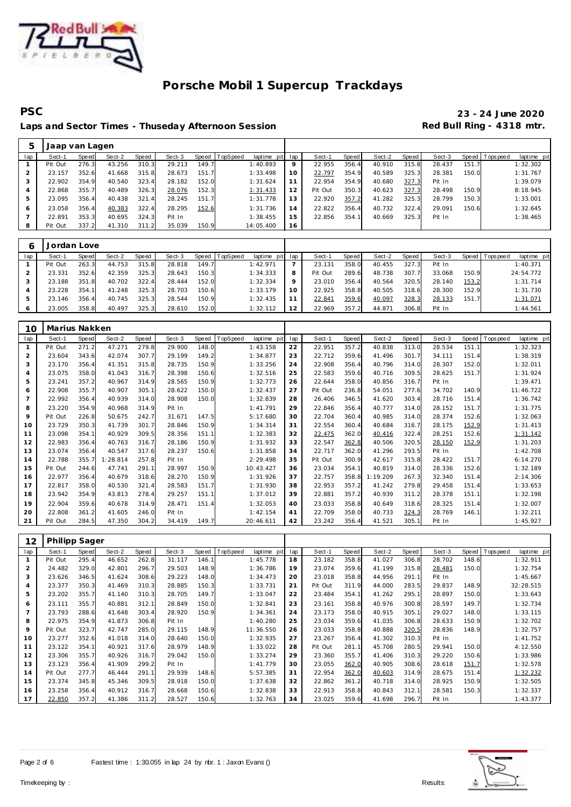

## **PSC 23 - 24 June 2020** Laps and Sector Times - Thuseday Afternoon Session **Red Bull Ring - 4318 mtr.**

| 5   | Jaap van Lagen |       |        |           |        |       |                |                 |    |         |       |        |       |        |       |            |             |
|-----|----------------|-------|--------|-----------|--------|-------|----------------|-----------------|----|---------|-------|--------|-------|--------|-------|------------|-------------|
| lap | Sect-1         | Speed | Sect-2 | Speed     | Sect-3 |       | Speed TopSpeed | laptime pit lap |    | Sect-1  | Speed | Sect-2 | Speed | Sect-3 | Speed | T ops peed | laptime pit |
|     | Pit Out        | 276.3 | 43.256 | 310.3     | 29.213 | 149.7 |                | 1:40.893        | 9  | 22.955  | 356.4 | 40.910 | 315.8 | 28.437 | 151.7 |            | 1:32.302    |
|     | 23.157         | 352.6 | 41.668 | 315.8     | 28.673 | 151.7 |                | 1:33.498        | 10 | 22.797  | 354.9 | 40.589 | 325.3 | 28.381 | 150.0 |            | 1:31.767    |
|     | 22.902         | 354.9 | 40.540 | 323.4     | 28.182 | 152.0 |                | 1:31.624        |    | 22.954  | 354.9 | 40.680 | 327.3 | Pit In |       |            | 1:39.079    |
|     | 22.868         | 355.7 | 40.489 | 326.3     | 28.076 | 152.3 |                | 1:31.433        | 12 | Pit Out | 350.3 | 40.623 | 327.3 | 28.498 | 150.9 |            | 8:18.945    |
| b   | 23.095         | 356.4 | 40.438 | 321<br>4  | 28.245 | 151.7 |                | 1:31.778        | 13 | 22.920  | 357.2 | 41.282 | 325.3 | 28.799 | 150.3 |            | 1:33.001    |
| Ô   | 23.058         | 356.4 | 40.383 | 322.4     | 28.295 | 152.6 |                | 1:31.736        | 14 | 22.822  | 356.4 | 40.732 | 322.4 | 29.091 | 150.6 |            | 1:32.645    |
|     | 22.891         | 353.3 | 40.695 | 324.3     | Pit In |       |                | 1:38.455        | 15 | 22.856  | 354.1 | 40.669 | 325.3 | Pit In |       |            | 1:38.465    |
|     | Pit Out        | 337.2 | 41.310 | 311<br>.2 | 35.039 | 150.9 |                | 14:05.400       | 16 |         |       |        |       |        |       |            |             |

| 6   | Jordan Love |       |        |       |        |       |                |                 |         |         |       |        |       |        |       |                |             |
|-----|-------------|-------|--------|-------|--------|-------|----------------|-----------------|---------|---------|-------|--------|-------|--------|-------|----------------|-------------|
| lap | Sect-1      | Speed | Sect-2 | Speed | Sect-3 |       | Speed TopSpeed | laptime pit lap |         | Sect-1  | Speed | Sect-2 | Speed | Sect-3 |       | Speed Topspeed | laptime pit |
|     | Pit Out     | 263.3 | 44.753 | 315.8 | 28.818 | 149.7 |                | 1:42.971        |         | 23.131  | 358.0 | 40.455 | 327.3 | Pit In |       |                | 1:40.371    |
|     | 23.331      | 352.6 | 42.359 | 325.3 | 28.643 | 150.3 |                | 1:34.333        | 8       | Pit Out | 289.6 | 48.738 | 307.7 | 33.068 | 150.9 |                | 24:54.772   |
|     | 23.188      | 351.8 | 40.702 | 322.4 | 28.444 | 152.0 |                | 1:32.334        | $\circ$ | 23.010  | 356.4 | 40.564 | 320.5 | 28.140 | 153.2 |                | 1:31.714    |
|     | 23.228      | 354.1 | 41.248 | 325.3 | 28.703 | 150.6 |                | 1:33.179        | 10      | 22.925  | 358.8 | 40.505 | 318.6 | 28.300 | 152.9 |                | 1:31.730    |
|     | 23.146      | 356.4 | 40.745 | 325.3 | 28.544 | 150.9 |                | 1:32.435        |         | 22.841  | 359.6 | 40.097 | 328.3 | 28.133 | 151.7 |                | 1:31.071    |
| O   | 23.005      | 358.8 | 40.497 | 325.3 | 28.610 | 152.0 |                | 1:32.112        | 12      | 22.969  | 357.2 | 44.871 | 306.8 | Pit In |       |                | 1:44.561    |

| 10             | Marius Nakken |              |          |       |        |       |          |             |     |         |       |          |       |        |       |             |             |
|----------------|---------------|--------------|----------|-------|--------|-------|----------|-------------|-----|---------|-------|----------|-------|--------|-------|-------------|-------------|
| lap            | Sect-1        | <b>Speed</b> | Sect-2   | Speed | Sect-3 | Speed | TopSpeed | laptime pit | lap | Sect-1  | Speed | Sect-2   | Speed | Sect-3 | Speed | T ops pee d | laptime pit |
| $\mathbf{1}$   | Pit Out       | 271.2        | 47.271   | 279.8 | 29.900 | 148.0 |          | 1:43.158    | 22  | 22.951  | 357.2 | 40.838   | 313.0 | 28.534 | 151.1 |             | 1:32.323    |
| $\overline{2}$ | 23.604        | 343.6        | 42.074   | 307.7 | 29.199 | 149.2 |          | 1:34.877    | 23  | 22.712  | 359.6 | 41.496   | 301.7 | 34.111 | 151.4 |             | 1:38.319    |
| 3              | 23.170        | 356.4        | 41.351   | 315.8 | 28.735 | 150.9 |          | 1:33.256    | 24  | 22.908  | 356.4 | 40.796   | 314.0 | 28.307 | 152.0 |             | 1:32.011    |
| 4              | 23.075        | 358.0        | 41.043   | 316.7 | 28.398 | 150.6 |          | 1:32.516    | 25  | 22.583  | 359.6 | 40.716   | 309.5 | 28.625 | 151.7 |             | 1:31.924    |
| 5              | 23.241        | 357.2        | 40.967   | 314.9 | 28.565 | 150.9 |          | 1:32.773    | 26  | 22.644  | 358.0 | 40.856   | 316.7 | Pit In |       |             | 1:39.471    |
| 6              | 22.908        | 355.7        | 40.907   | 305.1 | 28.622 | 150.0 |          | 1:32.437    | 27  | Pit Out | 236.8 | 54.051   | 277.6 | 34.702 | 140.9 |             | 11:46.722   |
| $\overline{7}$ | 22.992        | 356.4        | 40.939   | 314.0 | 28.908 | 150.0 |          | 1:32.839    | 28  | 26.406  | 346.5 | 41.620   | 303.4 | 28.716 | 151.4 |             | 1:36.742    |
| 8              | 23.220        | 354.9        | 40.968   | 314.9 | Pit In |       |          | 1:41.791    | 29  | 22.846  | 356.4 | 40.777   | 314.0 | 28.152 | 151.7 |             | 1:31.775    |
| 9              | Pit Out       | 226.8        | 50.675   | 242.7 | 31.671 | 147.5 |          | 5:17.680    | 30  | 22.704  | 360.4 | 40.985   | 314.0 | 28.374 | 152.6 |             | 1:32.063    |
| 10             | 23.729        | 350.3        | 41.739   | 301.7 | 28.846 | 150.9 |          | 1:34.314    | 31  | 22.554  | 360.4 | 40.684   | 316.7 | 28.175 | 152.9 |             | 1:31.413    |
| 11             | 23.098        | 354.1        | 40.929   | 309.5 | 28.356 | 151.1 |          | 1:32.383    | 32  | 22.475  | 362.0 | 40.416   | 322.4 | 28.251 | 152.6 |             | 1:31.142    |
| 12             | 22.983        | 356.4        | 40.763   | 316.7 | 28.186 | 150.9 |          | 1:31.932    | 33  | 22.547  | 362.8 | 40.506   | 320.5 | 28.150 | 152.9 |             | 1:31.203    |
| 13             | 23.074        | 356.4        | 40.547   | 317.6 | 28.237 | 150.6 |          | 1:31.858    | 34  | 22.717  | 362.0 | 41.296   | 293.5 | Pit In |       |             | 1:42.708    |
| 14             | 22.788        | 355.7        | 1:28.814 | 257.8 | Pit In |       |          | 2:29.498    | 35  | Pit Out | 300.9 | 42.617   | 315.8 | 28.422 | 151.7 |             | 6:14.270    |
| 15             | Pit Out       | 244.6        | 47.741   | 291.1 | 28.997 | 150.9 |          | 10:43.427   | 36  | 23.034  | 354.1 | 40.819   | 314.0 | 28.336 | 152.6 |             | 1:32.189    |
| 16             | 22.977        | 356.4        | 40.679   | 318.6 | 28.270 | 150.9 |          | 1:31.926    | 37  | 22.757  | 358.8 | 1:19.209 | 267.3 | 32.340 | 151.4 |             | 2:14.306    |
| 17             | 22.817        | 358.0        | 40.530   | 321.4 | 28.583 | 151.7 |          | 1:31.930    | 38  | 22.953  | 357.2 | 41.242   | 279.8 | 29.458 | 151.4 |             | 1:33.653    |
| 18             | 23.942        | 354.9        | 43.813   | 278.4 | 29.257 | 151.1 |          | 1:37.012    | 39  | 22.881  | 357.2 | 40.939   | 311.2 | 28.378 | 151.1 |             | 1:32.198    |
| 19             | 22.904        | 359.6        | 40.678   | 314.9 | 28.471 | 151.4 |          | 1:32.053    | 40  | 23.033  | 358.8 | 40.649   | 318.6 | 28.325 | 151.4 |             | 1:32.007    |
| 20             | 22.808        | 361.2        | 41.605   | 246.0 | Pit In |       |          | 1:42.154    | 41  | 22.709  | 358.0 | 40.733   | 324.3 | 28.769 | 146.1 |             | 1:32.211    |
| 21             | Pit Out       | 284.5        | 47.350   | 304.2 | 34.419 | 149.7 |          | 20:46.611   | 42  | 23.242  | 356.4 | 41.521   | 305.1 | Pit In |       |             | 1:45.927    |

| 12             | <b>Philipp Sager</b> |       |        |       |        |       |          |                |     |         |       |        |       |        |       |           |             |
|----------------|----------------------|-------|--------|-------|--------|-------|----------|----------------|-----|---------|-------|--------|-------|--------|-------|-----------|-------------|
| lap            | Sect-1               | Speed | Sect-2 | Speed | Sect-3 | Speed | TopSpeed | laptime<br>pit | lap | Sect-1  | Speed | Sect-2 | Speed | Sect-3 | Speed | Tops peed | laptime pit |
|                | Pit Out              | 295.4 | 46.652 | 262.8 | 31.117 | 146.1 |          | 1:45.778       | 18  | 23.182  | 358.8 | 41.027 | 306.8 | 28.702 | 148.6 |           | 1:32.911    |
| 2              | 24.482               | 329.0 | 42.801 | 296.7 | 29.503 | 148.9 |          | 1:36.786       | 19  | 23.074  | 359.6 | 41.199 | 315.8 | 28.481 | 150.0 |           | 1:32.754    |
| 3              | 23.626               | 346.5 | 41.624 | 308.6 | 29.223 | 148.C |          | 1:34.473       | 20  | 23.018  | 358.8 | 44.956 | 291.1 | Pit In |       |           | 1:45.667    |
| 4              | 23.377               | 350.3 | 41.469 | 310.3 | 28.885 | 150.3 |          | 1:33.731       | 21  | Pit Out | 311.9 | 44.000 | 283.5 | 29.837 | 148.9 |           | 32:28.515   |
| 5              | 23.202               | 355.7 | 41.140 | 310.3 | 28.705 | 149.7 |          | 1:33.047       | 22  | 23.484  | 354.1 | 41.262 | 295.1 | 28.897 | 150.0 |           | 1:33.643    |
| 6              | 23.111               | 355.7 | 40.881 | 312.1 | 28.849 | 150.0 |          | 1:32.841       | 23  | 23.161  | 358.8 | 40.976 | 300.8 | 28.597 | 149.7 |           | 1:32.734    |
| $\overline{7}$ | 23.793               | 288.6 | 41.648 | 303.4 | 28.920 | 150.9 |          | 1:34.361       | 24  | 23.173  | 358.0 | 40.915 | 305.1 | 29.027 | 148.0 |           | 1:33.115    |
| 8              | 22.975               | 354.9 | 41.873 | 306.8 | Pit In |       |          | 1:40.280       | 25  | 23.034  | 359.6 | 41.035 | 306.8 | 28.633 | 150.9 |           | 1:32.702    |
| 9              | Pit Out              | 323.7 | 42.747 | 285.0 | 29.115 | 148.9 |          | 11:36.550      | 26  | 23.033  | 358.8 | 40.888 | 320.5 | 28.836 | 148.9 |           | 1:32.757    |
| 10             | 23.277               | 352.6 | 41.018 | 314.0 | 28.640 | 150.0 |          | 1:32.935       | 27  | 23.267  | 356.4 | 41.302 | 310.3 | Pit In |       |           | 1:41.752    |
| 11             | 23.122               | 354.1 | 40.921 | 317.6 | 28.979 | 148.9 |          | 1:33.022       | 28  | Pit Out | 281.1 | 45.708 | 280.5 | 29.941 | 150.0 |           | 4:12.550    |
| 12             | 23.306               | 355.7 | 40.926 | 316.7 | 29.042 | 150.0 |          | 1:33.274       | 29  | 23.360  | 355.7 | 41.406 | 310.3 | 29.220 | 150.6 |           | 1:33.986    |
| 13             | 23.123               | 356.4 | 41.909 | 299.2 | Pit In |       |          | 1:41.779       | 30  | 23.055  | 362.0 | 40.905 | 308.6 | 28.618 | 151.7 |           | 1:32.578    |
| 14             | Pit Out              | 277.7 | 46.444 | 291.1 | 29.939 | 148.6 |          | 5:57.385       | 31  | 22.954  | 362.0 | 40.603 | 314.9 | 28.675 | 151.4 |           | 1:32.232    |
| 15             | 23.374               | 345.8 | 45.346 | 309.5 | 28.918 | 150.0 |          | 1:37.638       | 32  | 22.862  | 361.2 | 40.718 | 314.0 | 28.925 | 150.9 |           | 1:32.505    |
| 16             | 23.258               | 356.4 | 40.912 | 316.7 | 28.668 | 150.6 |          | 1:32.838       | 33  | 22.913  | 358.8 | 40.843 | 312.1 | 28.581 | 150.3 |           | 1:32.337    |
| 17             | 22.850               | 357.2 | 41.386 | 311.2 | 28.527 | 150.6 |          | 1:32.763       | 34  | 23.025  | 359.6 | 41.698 | 296.7 | Pit In |       |           | 1:43.377    |



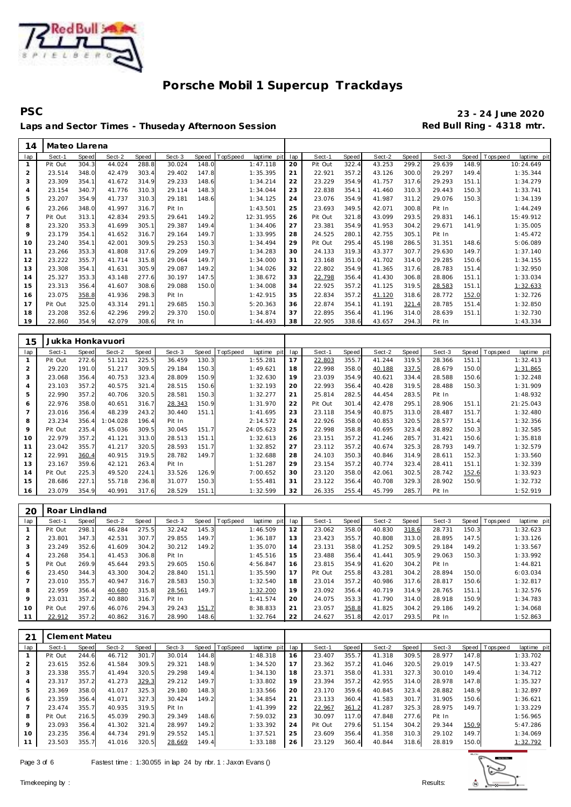

**PSC 23 - 24 June 2020** Laps and Sector Times - Thuseday Afternoon Session **Red Bull Ring - 4318 mtr.** 

| 14             | Mateo Llarena |       |        |       |        |       |          |             |     |         |       |        |       |        |       |            |             |
|----------------|---------------|-------|--------|-------|--------|-------|----------|-------------|-----|---------|-------|--------|-------|--------|-------|------------|-------------|
| lap            | Sect-1        | Speed | Sect-2 | Speed | Sect-3 | Speed | TopSpeed | laptime pit | lap | Sect-1  | Speed | Sect-2 | Speed | Sect-3 | Speed | T ops peed | laptime pit |
|                | Pit Out       | 304.3 | 44.024 | 288.8 | 30.024 | 148.0 |          | 1:47.118    | 20  | Pit Out | 322.4 | 43.253 | 299.2 | 29.639 | 148.9 |            | 10:24.649   |
| 2              | 23.514        | 348.0 | 42.479 | 303.4 | 29.402 | 147.8 |          | 1:35.395    | 21  | 22.921  | 357.2 | 43.126 | 300.0 | 29.297 | 149.4 |            | 1:35.344    |
| 3              | 23.309        | 354.1 | 41.672 | 314.9 | 29.233 | 148.6 |          | 1:34.214    | 22  | 23.229  | 354.9 | 41.757 | 317.6 | 29.293 | 151.1 |            | 1:34.279    |
| 4              | 23.154        | 340.7 | 41.776 | 310.3 | 29.114 | 148.3 |          | 1:34.044    | 23  | 22.838  | 354.1 | 41.460 | 310.3 | 29.443 | 150.3 |            | 1:33.741    |
| 5              | 23.207        | 354.9 | 41.737 | 310.3 | 29.181 | 148.6 |          | 1:34.125    | 24  | 23.076  | 354.9 | 41.987 | 311.2 | 29.076 | 150.3 |            | 1:34.139    |
| 6              | 23.266        | 348.0 | 41.997 | 316.7 | Pit In |       |          | 1:43.501    | 25  | 23.693  | 349.5 | 42.071 | 300.8 | Pit In |       |            | 1:44.249    |
| $\overline{7}$ | Pit Out       | 313.1 | 42.834 | 293.5 | 29.641 | 149.2 |          | 12:31.955   | 26  | Pit Out | 321.8 | 43.099 | 293.5 | 29.831 | 146.1 |            | 15:49.912   |
| 8              | 23.320        | 353.3 | 41.699 | 305.1 | 29.387 | 149.4 |          | 1:34.406    | 27  | 23.381  | 354.9 | 41.953 | 304.2 | 29.671 | 141.9 |            | 1:35.005    |
| 9              | 23.179        | 354.1 | 41.652 | 316.7 | 29.164 | 149.7 |          | 1:33.995    | 28  | 24.525  | 280.1 | 42.755 | 305.1 | Pit In |       |            | 1:45.472    |
| 10             | 23.240        | 354.1 | 42.001 | 309.5 | 29.253 | 150.3 |          | 1:34.494    | 29  | Pit Out | 295.4 | 45.198 | 286.5 | 31.351 | 148.6 |            | 5:06.089    |
| 11             | 23.266        | 353.3 | 41.808 | 317.6 | 29.209 | 149.7 |          | 1:34.283    | 30  | 24.133  | 319.3 | 43.377 | 307.7 | 29.630 | 149.7 |            | 1:37.140    |
| 12             | 23.222        | 355.7 | 41.714 | 315.8 | 29.064 | 149.7 |          | 1:34.000    | 31  | 23.168  | 351.0 | 41.702 | 314.0 | 29.285 | 150.6 |            | 1:34.155    |
| 13             | 23.308        | 354.1 | 41.631 | 305.9 | 29.087 | 149.2 |          | 1:34.026    | 32  | 22.802  | 354.9 | 41.365 | 317.6 | 28.783 | 151.4 |            | 1:32.950    |
| 14             | 25.327        | 353.3 | 43.148 | 277.6 | 30.197 | 147.5 |          | 1:38.672    | 33  | 22.798  | 356.4 | 41.430 | 306.8 | 28.806 | 151.1 |            | 1:33.034    |
| 15             | 23.313        | 356.4 | 41.607 | 308.6 | 29.088 | 150.0 |          | 1:34.008    | 34  | 22.925  | 357.2 | 41.125 | 319.5 | 28.583 | 151.1 |            | 1:32.633    |
| 16             | 23.075        | 358.8 | 41.936 | 298.3 | Pit In |       |          | 1:42.915    | 35  | 22.834  | 357.2 | 41.120 | 318.6 | 28.772 | 152.0 |            | 1:32.726    |
| 17             | Pit Out       | 325.0 | 43.314 | 291.1 | 29.685 | 150.3 |          | 5:20.363    | 36  | 22.874  | 354.1 | 41.191 | 321.4 | 28.785 | 151.4 |            | 1:32.850    |
| 18             | 23.208        | 352.6 | 42.296 | 299.2 | 29.370 | 150.0 |          | 1:34.874    | 37  | 22.895  | 356.4 | 41.196 | 314.0 | 28.639 | 151.1 |            | 1:32.730    |
| 19             | 22.860        | 354.9 | 42.079 | 308.6 | Pit In |       |          | 1:44.493    | 38  | 22.905  | 338.6 | 43.657 | 294.3 | Pit In |       |            | 1:43.334    |

| 15             |         |       | Jukka Honkavuori |       |        |       |                 |                |     |         |       |        |       |        |       |            |             |
|----------------|---------|-------|------------------|-------|--------|-------|-----------------|----------------|-----|---------|-------|--------|-------|--------|-------|------------|-------------|
| lap            | Sect-1  | Speed | Sect-2           | Speed | Sect-3 | Speed | <b>TopSpeed</b> | laptime<br>pit | lap | Sect-1  | Speed | Sect-2 | Speed | Sect-3 | Speed | Tops pee d | laptime pit |
|                | Pit Out | 272.6 | 51.121           | 225.5 | 36.459 | 130.3 |                 | 1:55.281       | 17  | 22.803  | 355.7 | 41.244 | 319.5 | 28.366 | 151.1 |            | 1:32.413    |
| $\overline{2}$ | 29.220  | 191.0 | 51.217           | 309.5 | 29.184 | 150.3 |                 | 1:49.621       | 18  | 22.998  | 358.0 | 40.188 | 337.5 | 28.679 | 150.0 |            | 1:31.865    |
| 3              | 23.068  | 356.4 | 40.753           | 323.4 | 28.809 | 150.9 |                 | 1:32.630       | 19  | 23.039  | 354.9 | 40.621 | 334.4 | 28.588 | 150.6 |            | 1:32.248    |
| 4              | 23.103  | 357.2 | 40.575           | 321.4 | 28.515 | 150.6 |                 | 1:32.193       | 20  | 22.993  | 356.4 | 40.428 | 319.5 | 28.488 | 150.3 |            | 1:31.909    |
| 5              | 22.990  | 357.2 | 40.706           | 320.5 | 28.581 | 150.3 |                 | 1:32.277       | 21  | 25.814  | 282.5 | 44.454 | 283.5 | Pit In |       |            | 1:48.932    |
| 6              | 22.976  | 358.0 | 40.651           | 316.7 | 28.343 | 150.9 |                 | 1:31.970       | 22  | Pit Out | 301.4 | 42.478 | 295.1 | 28.906 | 151.1 |            | 21:25.043   |
|                | 23.016  | 356.4 | 48.239           | 243.2 | 30.440 | 151.1 |                 | 1:41.695       | 23  | 23.118  | 354.9 | 40.875 | 313.0 | 28.487 | 151.7 |            | 1:32.480    |
| 8              | 23.234  | 356.4 | 1:04.028         | 196.4 | Pit In |       |                 | 2:14.572       | 24  | 22.926  | 358.0 | 40.853 | 320.5 | 28.577 | 151.4 |            | 1:32.356    |
| 9              | Pit Out | 235.4 | 45.036           | 309.5 | 30.045 | 151.7 |                 | 24:05.623      | 25  | 22.998  | 358.8 | 40.695 | 323.4 | 28.892 | 150.3 |            | 1:32.585    |
| 10             | 22.979  | 357.2 | 41.121           | 313.0 | 28.513 | 151.1 |                 | 1:32.613       | 26  | 23.151  | 357.2 | 41.246 | 285.7 | 31.421 | 150.6 |            | 1:35.818    |
|                | 23.042  | 355.7 | 41.217           | 320.5 | 28.593 | 151.7 |                 | 1:32.852       | 27  | 23.112  | 357.2 | 40.674 | 325.3 | 28.793 | 149.7 |            | 1:32.579    |
| 12             | 22.991  | 360.4 | 40.915           | 319.5 | 28.782 | 149.7 |                 | 1:32.688       | 28  | 24.103  | 350.3 | 40.846 | 314.9 | 28.611 | 152.3 |            | 1:33.560    |
| 13             | 23.167  | 359.6 | 42.121           | 263.4 | Pit In |       |                 | 1:51.287       | 29  | 23.154  | 357.2 | 40.774 | 323.4 | 28.411 | 151.1 |            | 1:32.339    |
| 14             | Pit Out | 225.3 | 49.520           | 224.1 | 33.526 | 126.9 |                 | 7:00.652       | 30  | 23.120  | 358.0 | 42.061 | 302.5 | 28.742 | 152.6 |            | 1:33.923    |
| 15             | 28.686  | 227.1 | 55.718           | 236.8 | 31.077 | 150.3 |                 | 1:55.481       | 31  | 23.122  | 356.4 | 40.708 | 329.3 | 28.902 | 150.9 |            | 1:32.732    |
| 16             | 23.079  | 354.9 | 40.991           | 317.6 | 28.529 | 151.1 |                 | 1:32.599       | 32  | 26.335  | 255.4 | 45.799 | 285.7 | Pit In |       |            | 1:52.919    |

| 20  | Roar Lindland |       |        |       |        |       |          |             |     |         |       |        |       |        |       |           |             |
|-----|---------------|-------|--------|-------|--------|-------|----------|-------------|-----|---------|-------|--------|-------|--------|-------|-----------|-------------|
| lap | Sect-1        | Speed | Sect-2 | Speed | Sect-3 | Speed | TopSpeed | laptime pit | lap | Sect-1  | Speed | Sect-2 | Speed | Sect-3 | Speed | Tops peed | laptime pit |
|     | Pit Out       | 298.1 | 46.284 | 275.5 | 32.242 | 145.3 |          | 1:46.509    | 12  | 23.062  | 358.0 | 40.830 | 318.6 | 28.731 | 150.3 |           | 1:32.623    |
|     | 23.801        | 347.3 | 42.531 | 307.7 | 29.855 | 149.7 |          | 1:36.187    | 13  | 23.423  | 355.7 | 40.808 | 313.0 | 28.895 | 147.5 |           | 1:33.126    |
| 3   | 23.249        | 352.6 | 41.609 | 304.2 | 30.212 | 149.2 |          | 1:35.070    | 14  | 23.131  | 358.0 | 41.252 | 309.5 | 29.184 | 149.2 |           | 1:33.567    |
| 4   | 23.268        | 354.1 | 41.453 | 306.8 | Pit In |       |          | 1:45.516    | 15  | 23.488  | 356.4 | 41.441 | 305.9 | 29.063 | 150.3 |           | 1:33.992    |
| 5   | Pit Out       | 269.9 | 45.644 | 293.5 | 29.605 | 150.6 |          | 4:56.847    | 16  | 23.815  | 354.9 | 41.620 | 304.2 | Pit In |       |           | 1:44.821    |
| 6   | 23.450        | 344.3 | 43.300 | 304.2 | 28.840 | 151.1 |          | 1:35.590    | 17  | Pit Out | 255.8 | 43.281 | 304.2 | 28.894 | 150.0 |           | 6:03.034    |
|     | 23.010        | 355.7 | 40.947 | 316.7 | 28.583 | 150.3 |          | 1:32.540    | 18  | 23.014  | 357.2 | 40.986 | 317.6 | 28.817 | 150.6 |           | 1:32.817    |
| 8   | 22.959        | 356.4 | 40.680 | 315.8 | 28.561 | 149.7 |          | 1:32.200    | 19  | 23.092  | 356.4 | 40.719 | 314.9 | 28.765 | 151.1 |           | 1:32.576    |
| 9   | 23.031        | 357.2 | 40.880 | 316.7 | Pit In |       |          | 1:41.574    | 20  | 24.075  | 353.3 | 41.790 | 314.0 | 28.918 | 150.9 |           | 1:34.783    |
| 10  | Pit Out       | 297.6 | 46.076 | 294.3 | 29.243 | 151.7 |          | 8:38.833    | 21  | 23.057  | 358.8 | 41.825 | 304.2 | 29.186 | 149.2 |           | 1:34.068    |
| 11  | 22.912        | 357.2 | 40.862 | 316.7 | 28.990 | 148.6 |          | 1:32.764    | 22  | 24.627  | 351.8 | 42.017 | 293.5 | Pit In |       |           | 1:52.863    |

| 2 <sub>1</sub> | Clement Mateu |       |        |       |        |       |          |             |     |         |       |        |       |        |       |                |             |
|----------------|---------------|-------|--------|-------|--------|-------|----------|-------------|-----|---------|-------|--------|-------|--------|-------|----------------|-------------|
| lap            | Sect-1        | Speed | Sect-2 | Speed | Sect-3 | Speed | TopSpeed | laptime pit | lap | Sect-1  | Speed | Sect-2 | Speed | Sect-3 |       | Speed Topspeed | laptime pit |
|                | Pit Out       | 244.6 | 46.712 | 301.7 | 30.014 | 144.8 |          | 1:48.318    | 16  | 23.407  | 355.7 | 41.318 | 309.5 | 28.977 | 147.8 |                | 1:33.702    |
|                | 23.615        | 352.6 | 41.584 | 309.5 | 29.321 | 148.9 |          | 1:34.520    | 17  | 23.362  | 357.2 | 41.046 | 320.5 | 29.019 | 147.5 |                | 1:33.427    |
| 3              | 23.338        | 355.7 | 41.494 | 320.5 | 29.298 | 149.4 |          | 1:34.130    | 18  | 23.371  | 358.0 | 41.331 | 327.3 | 30.010 | 149.4 |                | 1:34.712    |
| 4              | 23.317        | 357.2 | 41.273 | 329.3 | 29.212 | 149.7 |          | 1:33.802    | 19  | 23.394  | 357.2 | 42.955 | 314.0 | 28.978 | 147.8 |                | 1:35.327    |
| 5              | 23.369        | 358.0 | 41.017 | 325.3 | 29.180 | 148.3 |          | 1:33.566    | 20  | 23.170  | 359.6 | 40.845 | 323.4 | 28.882 | 148.9 |                | 1:32.897    |
| 6              | 23.359        | 356.4 | 41.071 | 327.3 | 30.424 | 149.2 |          | 1:34.854    | 21  | 23.133  | 360.4 | 41.583 | 301.7 | 31.905 | 150.6 |                | 1:36.621    |
|                | 23.474        | 355.7 | 40.935 | 319.5 | Pit In |       |          | 1:41.399    | 22  | 22.967  | 361.2 | 41.287 | 325.3 | 28.975 | 149.7 |                | 1:33.229    |
| 8              | Pit Out       | 216.5 | 45.039 | 290.3 | 29.349 | 148.6 |          | 7:59.032    | 23  | 30.097  | 117.0 | 47.848 | 277.6 | Pit In |       |                | 1:56.965    |
| 9              | 23.093        | 356.4 | 41.302 | 321.4 | 28.997 | 149.2 |          | 1:33.392    | 24  | Pit Out | 279.6 | 51.154 | 304.2 | 29.344 | 150.9 |                | 5:47.286    |
| 10             | 23.235        | 356.4 | 44.734 | 291.9 | 29.552 | 145.1 |          | 1:37.521    | 25  | 23.609  | 356.4 | 41.358 | 310.3 | 29.102 | 149.7 |                | 1:34.069    |
| 11             | 23.503        | 355.7 | 41.016 | 320.5 | 28.669 | 149.4 |          | 1:33.188    | 26  | 23.129  | 360.4 | 40.844 | 318.6 | 28.819 | 150.0 |                | 1:32.792    |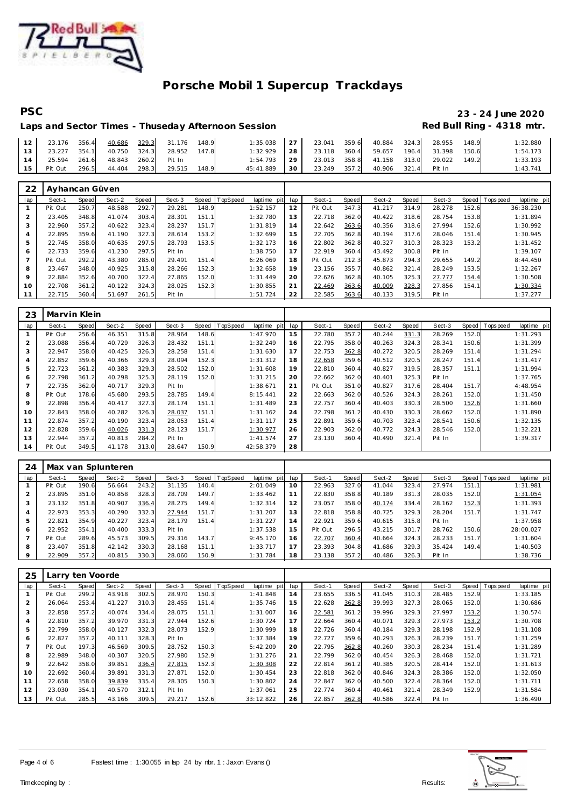

# **PSC 23 - 24 June 2020**

## Laps and Sector Times - Thuseday Afternoon Session **Red Bull Ring - 4318 mtr.**

| 12              |         | 23.176 356.4 40.686 329.3 31.176 |              | 148.9 | 1:35.038        | 27   |              | 23.041 359.6 40.884 324.3 28.955 |              | 148.9 | 1:32.880 |
|-----------------|---------|----------------------------------|--------------|-------|-----------------|------|--------------|----------------------------------|--------------|-------|----------|
| 13 <sup>1</sup> |         | 23.227 354.1 40.750 324.3        | 28.952 147.8 |       | 1:32.929        | 28 L |              | 23.118 360.4 59.657              | 196.4 31.398 | 150.6 | 1:54.173 |
| 14              |         | 25.594 261.6 48.843 260.2 Pit In |              |       | $1:54.793$   29 |      |              | 23.013 358.8 41.158 313.0        | 29.022       | 149.2 | 1:33.193 |
| 15              | Pit Out | 296.5 44.404 298.3 29.515        |              | 148.9 | 45:41.889       | 30 I | 23.249 357.2 | 40.906 321.4 Pit In              |              |       | 1:43.741 |

| 22  | Ayhancan Güven |       |        |       |        |       |          |                |     |         |       |        |       |        |       |                          |
|-----|----------------|-------|--------|-------|--------|-------|----------|----------------|-----|---------|-------|--------|-------|--------|-------|--------------------------|
| lap | Sect-1         | Speed | Sect-2 | Speed | Sect-3 | Speed | TopSpeed | laptime<br>pit | lap | Sect-1  | Speed | Sect-2 | Speed | Sect-3 | Speed | Tops peed<br>laptime pit |
|     | Pit Out        | 250.7 | 48.588 | 292.7 | 29.281 | 148.9 |          | 1:52.157       | 12  | Pit Out | 347.3 | 41.217 | 314.9 | 28.278 | 152.6 | 36:38.230                |
|     | 23.405         | 348.8 | 41.074 | 303.4 | 28.301 | 151.1 |          | 1:32.780       | 13  | 22.718  | 362.0 | 40.422 | 318.6 | 28.754 | 153.8 | 1:31.894                 |
| 3   | 22.960         | 357.2 | 40.622 | 323.4 | 28.237 | 151.7 |          | 1:31.819       | 14  | 22.642  | 363.6 | 40.356 | 318.6 | 27.994 | 152.6 | 1:30.992                 |
| 4   | 22.895         | 359.6 | 41.190 | 327.3 | 28.614 | 153.2 |          | 1:32.699       | 15  | 22.705  | 362.8 | 40.194 | 317.6 | 28.046 | 151.4 | 1:30.945                 |
| 5   | 22.745         | 358.0 | 40.635 | 297.5 | 28.793 | 153.5 |          | 1:32.173       | 16  | 22.802  | 362.8 | 40.327 | 310.3 | 28.323 | 153.2 | 1:31.452                 |
| 6   | 22.733         | 359.6 | 41.230 | 297.5 | Pit In |       |          | 1:38.750       | 17  | 22.919  | 360.4 | 43.492 | 300.8 | Pit In |       | 1:39.107                 |
|     | Pit Out        | 292.2 | 43.380 | 285.0 | 29.491 | 151.4 |          | 6:26.069       | 18  | Pit Out | 212.3 | 45.873 | 294.3 | 29.655 | 149.2 | 8:44.450                 |
| 8   | 23.467         | 348.0 | 40.925 | 315.8 | 28.266 | 152.3 |          | 1:32.658       | 19  | 23.156  | 355.7 | 40.862 | 321.4 | 28.249 | 153.5 | 1:32.267                 |
| 9   | 22.884         | 352.6 | 40.700 | 322.4 | 27.865 | 152.0 |          | 1:31.449       | 20  | 22.626  | 362.8 | 40.105 | 325.3 | 27.777 | 154.4 | 1:30.508                 |
| 10  | 22.708         | 361.2 | 40.122 | 324.3 | 28.025 | 152.3 |          | 1:30.855       | 21  | 22.469  | 363.6 | 40.009 | 328.3 | 27.856 | 154.1 | 1:30.334                 |
|     | 22.715         | 360.4 | 51.697 | 261.5 | Pit In |       |          | 1:51.724       | 22  | 22.585  | 363.6 | 40.133 | 319.5 | Pit In |       | 1:37.277                 |

| 23  | Marvin Klein |       |        |       |        |       |          |                |     |         |       |        |       |        |       |                |             |
|-----|--------------|-------|--------|-------|--------|-------|----------|----------------|-----|---------|-------|--------|-------|--------|-------|----------------|-------------|
| lap | Sect-1       | Speed | Sect-2 | Speed | Sect-3 | Speed | TopSpeed | laptime<br>pit | lap | Sect-1  | Speed | Sect-2 | Speed | Sect-3 |       | Speed Topspeed | laptime pit |
|     | Pit Out      | 256.6 | 46.351 | 315.8 | 28.964 | 148.6 |          | 1:47.970       | 15  | 22.780  | 357.2 | 40.244 | 331.3 | 28.269 | 152.0 |                | 1:31.293    |
|     | 23.088       | 356.4 | 40.729 | 326.3 | 28.432 | 151.1 |          | 1:32.249       | 16  | 22.795  | 358.0 | 40.263 | 324.3 | 28.341 | 150.6 |                | 1:31.399    |
| 3   | 22.947       | 358.0 | 40.425 | 326.3 | 28.258 | 151.4 |          | 1:31.630       | 17  | 22.753  | 362.8 | 40.272 | 320.5 | 28.269 | 151.4 |                | 1:31.294    |
| 4   | 22.852       | 359.6 | 40.366 | 329.3 | 28.094 | 152.3 |          | 1:31.312       | 18  | 22.658  | 359.6 | 40.512 | 320.5 | 28.247 | 151.4 |                | 1:31.417    |
| 5   | 22.723       | 361.2 | 40.383 | 329.3 | 28.502 | 152.0 |          | 1:31.608       | 19  | 22.810  | 360.4 | 40.827 | 319.5 | 28.357 | 151.1 |                | 1:31.994    |
| 6   | 22.798       | 361.2 | 40.298 | 325.3 | 28.119 | 152.0 |          | 1:31.215       | 20  | 22.662  | 362.0 | 40.401 | 325.3 | Pit In |       |                | 1:37.765    |
|     | 22.735       | 362.0 | 40.717 | 329.3 | Pit In |       |          | 1:38.671       | 21  | Pit Out | 351.0 | 40.827 | 317.6 | 28.404 | 151.7 |                | 4:48.954    |
| 8   | Pit Out      | 178.6 | 45.680 | 293.5 | 28.785 | 149.4 |          | 8:15.441       | 22  | 22.663  | 362.0 | 40.526 | 324.3 | 28.261 | 152.0 |                | 1:31.450    |
| 9   | 22.898       | 356.4 | 40.417 | 327.3 | 28.174 | 151.1 |          | 1:31.489       | 23  | 22.757  | 360.4 | 40.403 | 330.3 | 28.500 | 152.6 |                | 1:31.660    |
| 10  | 22.843       | 358.0 | 40.282 | 326.3 | 28.037 | 151.1 |          | 1:31.162       | 24  | 22.798  | 361.2 | 40.430 | 330.3 | 28.662 | 152.0 |                | 1:31.890    |
| 11  | 22.874       | 357.2 | 40.190 | 323.4 | 28.053 | 151.4 |          | 1:31.117       | 25  | 22.891  | 359.6 | 40.703 | 323.4 | 28.541 | 150.6 |                | 1:32.135    |
| 12  | 22.828       | 359.6 | 40.026 | 331.3 | 28.123 | 151.7 |          | 1:30.977       | 26  | 22.903  | 362.0 | 40.772 | 324.3 | 28.546 | 152.0 |                | 1:32.221    |
| 13  | 22.944       | 357.2 | 40.813 | 284.2 | Pit In |       |          | 1:41.574       | 27  | 23.130  | 360.4 | 40.490 | 321.4 | Pit In |       |                | 1:39.317    |
| 14  | Pit Out      | 349.5 | 41.178 | 313.0 | 28.647 | 150.9 |          | 42:58.379      | 28  |         |       |        |       |        |       |                |             |

| 24      |         |       | Max van Splunteren |       |        |       |                |             |     |         |       |        |       |        |       |                 |             |
|---------|---------|-------|--------------------|-------|--------|-------|----------------|-------------|-----|---------|-------|--------|-------|--------|-------|-----------------|-------------|
| lap     | Sect-1  | Speed | Sect-2             | Speed | Sect-3 |       | Speed TopSpeed | laptime pit | lap | Sect-1  | Speed | Sect-2 | Speed | Sect-3 |       | Speed Tops peed | laptime pit |
|         | Pit Out | 190.6 | 56.664             | 243.2 | 31.135 | 140.4 |                | 2:01.049    | 10  | 22.963  | 327.0 | 41.044 | 323.4 | 27.974 | 151.1 |                 | 1:31.981    |
|         | 23.895  | 351.0 | 40.858             | 328.3 | 28.709 | 149.7 |                | 1:33.462    | 11  | 22.830  | 358.8 | 40.189 | 331.3 | 28.035 | 152.0 |                 | 1:31.054    |
|         | 23.132  | 351.8 | 40.907             | 336.4 | 28.275 | 149.4 |                | 1:32.314    | 12  | 23.057  | 358.0 | 40.174 | 334.4 | 28.162 | 152.3 |                 | 1:31.393    |
| 4       | 22.973  | 353.3 | 40.290             | 332.3 | 27.944 | 151.7 |                | 1:31.207    | 13  | 22.818  | 358.8 | 40.725 | 329.3 | 28.204 | 151.7 |                 | 1:31.747    |
| 5       | 22.821  | 354.9 | 40.227             | 323.4 | 28.179 | 151.4 |                | 1:31.227    | 14  | 22.921  | 359.6 | 40.615 | 315.8 | Pit In |       |                 | 1:37.958    |
| 6       | 22.952  | 354.1 | 40.400             | 333.3 | Pit In |       |                | 1:37.538    | 15  | Pit Out | 296.5 | 43.215 | 301.7 | 28.762 | 150.6 |                 | 28:00.027   |
|         | Pit Out | 289.6 | 45.573             | 309.5 | 29.316 | 143.7 |                | 9:45.170    | 16  | 22.707  | 360.4 | 40.664 | 324.3 | 28.233 | 151.7 |                 | 1:31.604    |
| 8       | 23.407  | 351.8 | 42.142             | 330.3 | 28.168 | 151.1 |                | 1:33.717    | 17  | 23.393  | 304.8 | 41.686 | 329.3 | 35.424 | 149.4 |                 | 1:40.503    |
| $\circ$ | 22.909  | 357.2 | 40.815             | 330.3 | 28.060 | 150.9 |                | 1:31.784    | 18  | 23.138  | 357.2 | 40.486 | 326.3 | Pit In |       |                 | 1:38.736    |

| 25             | Larry ten Voorde |       |        |       |        |       |                |                 |     |        |       |        |       |        |       |                 |             |
|----------------|------------------|-------|--------|-------|--------|-------|----------------|-----------------|-----|--------|-------|--------|-------|--------|-------|-----------------|-------------|
| lap            | Sect-1           | Speed | Sect-2 | Speed | Sect-3 |       | Speed TopSpeed | laptime<br>pitl | lap | Sect-1 | Speed | Sect-2 | Speed | Sect-3 |       | Speed Tops peed | laptime pit |
|                | Pit Out          | 299.2 | 43.918 | 302.5 | 28.970 | 150.3 |                | 1:41.848        | 14  | 23.655 | 336.5 | 41.045 | 310.3 | 28.485 | 152.9 |                 | 1:33.185    |
| 2              | 26.064           | 253.4 | 41.227 | 310.3 | 28.455 | 151.4 |                | 1:35.746        | 15  | 22.628 | 362.8 | 39.993 | 327.3 | 28.065 | 152.0 |                 | 1:30.686    |
| 3              | 22.858           | 357.2 | 40.074 | 334.4 | 28.075 | 151.1 |                | 1:31.007        | 16  | 22.581 | 361.2 | 39.996 | 329.3 | 27.997 | 153.2 |                 | 1:30.574    |
| 4              | 22.810           | 357.2 | 39.970 | 331.3 | 27.944 | 152.6 |                | 1:30.724        | 17  | 22.664 | 360.4 | 40.071 | 329.3 | 27.973 | 153.2 |                 | 1:30.708    |
| 5              | 22.799           | 358.0 | 40.127 | 332.3 | 28.073 | 152.9 |                | 1:30.999        | 18  | 22.726 | 360.4 | 40.184 | 329.3 | 28.198 | 152.9 |                 | 1:31.108    |
| 6              | 22.827           | 357.2 | 40.111 | 328.3 | Pit In |       |                | 1:37.384        | 19  | 22.727 | 359.6 | 40.293 | 326.3 | 28.239 | 151.7 |                 | 1:31.259    |
| $\overline{7}$ | Pit Out          | 197.3 | 46.569 | 309.5 | 28.752 | 150.3 |                | 5:42.209        | 20  | 22.795 | 362.8 | 40.260 | 330.3 | 28.234 | 151.4 |                 | 1:31.289    |
| 8              | 22.989           | 348.0 | 40.307 | 320.5 | 27.980 | 152.9 |                | 1:31.276        | 21  | 22.799 | 362.0 | 40.454 | 326.3 | 28.468 | 152.0 |                 | 1:31.721    |
| 9              | 22.642           | 358.0 | 39.851 | 336.4 | 27.815 | 152.3 |                | 1:30.308        | 22  | 22.814 | 361.2 | 40.385 | 320.5 | 28.414 | 152.0 |                 | 1:31.613    |
| 10             | 22.692           | 360.4 | 39.891 | 331.3 | 27.871 | 152.0 |                | 1:30.454        | 23  | 22.818 | 362.0 | 40.846 | 324.3 | 28.386 | 152.0 |                 | 1:32.050    |
| 11             | 22.658           | 358.0 | 39.839 | 335.4 | 28.305 | 150.3 |                | 1:30.802        | 24  | 22.847 | 362.0 | 40.500 | 322.4 | 28.364 | 152.0 |                 | 1:31.711    |
| 12             | 23.030           | 354.1 | 40.570 | 312.1 | Pit In |       |                | 1:37.061        | 25  | 22.774 | 360.4 | 40.461 | 321.4 | 28.349 | 152.9 |                 | 1:31.584    |
| 13             | Pit Out          | 285.5 | 43.166 | 309.5 | 29.217 | 152.6 |                | 33:12.822       | 26  | 22.857 | 362.8 | 40.586 | 322.4 | Pit In |       |                 | 1:36.490    |



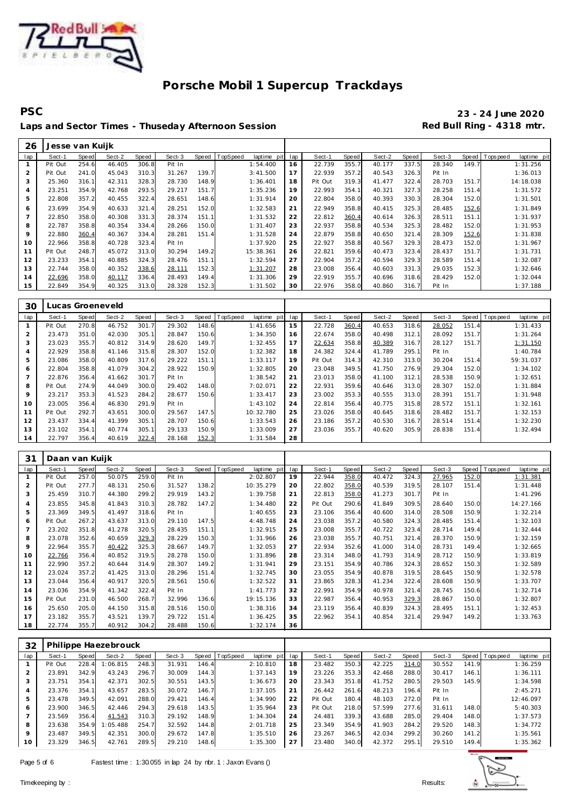

## **PSC 23 - 24 June 2020** Laps and Sector Times - Thuseday Afternoon Session **Red Bull Ring - 4318 mtr.**

| 26             | Jesse van Kuijk |       |        |       |        |       |          |             |     |         |       |        |       |        |       |                |             |
|----------------|-----------------|-------|--------|-------|--------|-------|----------|-------------|-----|---------|-------|--------|-------|--------|-------|----------------|-------------|
| lap            | Sect-1          | Speed | Sect-2 | Speed | Sect-3 | Speed | TopSpeed | laptime pit | lap | Sect-1  | Speed | Sect-2 | Speed | Sect-3 |       | Speed Topspeed | laptime pit |
|                | Pit Out         | 254.6 | 46.405 | 306.8 | Pit In |       |          | 1:54.400    | 16  | 22.739  | 355.7 | 40.177 | 337.5 | 28.340 | 149.7 |                | 1:31.256    |
| $\overline{2}$ | Pit Out         | 241.0 | 45.043 | 310.3 | 31.267 | 139.7 |          | 3:41.500    | 17  | 22.939  | 357.2 | 40.543 | 326.3 | Pit In |       |                | 1:36.013    |
| 3              | 25.360          | 316.1 | 42.311 | 328.3 | 28.730 | 148.9 |          | 1:36.401    | 18  | Pit Out | 319.3 | 41.477 | 322.4 | 28.703 | 151.7 |                | 14:18.038   |
| 4              | 23.251          | 354.9 | 42.768 | 293.5 | 29.217 | 151.7 |          | 1:35.236    | 19  | 22.993  | 354.1 | 40.321 | 327.3 | 28.258 | 151.4 |                | 1:31.572    |
| 5              | 22.808          | 357.2 | 40.455 | 322.4 | 28.651 | 148.6 |          | 1:31.914    | 20  | 22.804  | 358.0 | 40.393 | 330.3 | 28.304 | 152.0 |                | 1:31.501    |
| 6              | 23.699          | 354.9 | 40.633 | 321.4 | 28.251 | 152.0 |          | 1:32.583    | 21  | 22.949  | 358.8 | 40.415 | 325.3 | 28.485 | 152.6 |                | 1:31.849    |
| 7              | 22.850          | 358.0 | 40.308 | 331.3 | 28.374 | 151.1 |          | 1:31.532    | 22  | 22.812  | 360.4 | 40.614 | 326.3 | 28.511 | 151.1 |                | 1:31.937    |
| 8              | 22.787          | 358.8 | 40.354 | 334.4 | 28.266 | 150.0 |          | 1:31.407    | 23  | 22.937  | 358.8 | 40.534 | 325.3 | 28.482 | 152.0 |                | 1:31.953    |
| 9              | 22.880          | 360.4 | 40.367 | 334.4 | 28.281 | 151.4 |          | 1:31.528    | 24  | 22.879  | 358.8 | 40.650 | 321.4 | 28.309 | 152.6 |                | 1:31.838    |
| 10             | 22.966          | 358.8 | 40.728 | 323.4 | Pit In |       |          | 1:37.920    | 25  | 22.927  | 358.8 | 40.567 | 329.3 | 28.473 | 152.0 |                | 1:31.967    |
| 11             | Pit Out         | 248.7 | 45.072 | 313.0 | 30.294 | 149.2 |          | 15:38.361   | 26  | 22.821  | 359.6 | 40.473 | 323.4 | 28.437 | 151.7 |                | 1:31.731    |
| 12             | 23.233          | 354.1 | 40.885 | 324.3 | 28.476 | 151.1 |          | 1:32.594    | 27  | 22.904  | 357.2 | 40.594 | 329.3 | 28.589 | 151.4 |                | 1:32.087    |
| 13             | 22.744          | 358.0 | 40.352 | 338.6 | 28.111 | 152.3 |          | 1:31.207    | 28  | 23.008  | 356.4 | 40.603 | 331.3 | 29.035 | 152.3 |                | 1:32.646    |
| 14             | 22.696          | 358.0 | 40.117 | 336.4 | 28.493 | 149.4 |          | 1:31.306    | 29  | 22.919  | 355.7 | 40.696 | 318.6 | 28.429 | 152.0 |                | 1:32.044    |
| 15             | 22.849          | 354.9 | 40.325 | 313.0 | 28.328 | 152.3 |          | 1:31.502    | 30  | 22.976  | 358.0 | 40.860 | 316.7 | Pit In |       |                | 1:37.188    |

| 30  |         | Lucas Groeneveld |        |       |        |       |          |                |     |         |       |        |       |        |       |            |             |
|-----|---------|------------------|--------|-------|--------|-------|----------|----------------|-----|---------|-------|--------|-------|--------|-------|------------|-------------|
| lap | Sect-1  | Speed            | Sect-2 | Speed | Sect-3 | Speed | TopSpeed | laptime<br>pit | lap | Sect-1  | Speed | Sect-2 | Speed | Sect-3 | Speed | T ops peed | laptime pit |
|     | Pit Out | 270.8            | 46.752 | 301.7 | 29.302 | 148.6 |          | 1:41.656       | 15  | 22.728  | 360.4 | 40.653 | 318.6 | 28.052 | 151.4 | 1:31.433   |             |
| 2   | 23.473  | 351.0            | 42.030 | 305.1 | 28.847 | 150.6 |          | 1:34.350       | 16  | 22.674  | 358.0 | 40.498 | 312.1 | 28.092 | 151.7 | 1:31.264   |             |
| 3   | 23.023  | 355.7            | 40.812 | 314.9 | 28.620 | 149.7 |          | 1:32.455       | 17  | 22.634  | 358.8 | 40.389 | 316.7 | 28.127 | 151.7 | 1:31.150   |             |
| 4   | 22.929  | 358.8            | 41.146 | 315.8 | 28.307 | 152.0 |          | 1:32.382       | 18  | 24.382  | 324.4 | 41.789 | 295.1 | Pit In |       | 1:40.784   |             |
| 5   | 23.086  | 358.0            | 40.809 | 317.6 | 29.222 | 151.1 |          | 1:33.117       | 19  | Pit Out | 314.3 | 42.310 | 313.0 | 30.204 | 151.4 | 59:31.037  |             |
| 6   | 22.804  | 358.8            | 41.079 | 304.2 | 28.922 | 150.9 |          | 1:32.805       | 20  | 23.048  | 349.5 | 41.750 | 276.9 | 29.304 | 152.0 | 1:34.102   |             |
|     | 22.876  | 356.4            | 41.662 | 301.7 | Pit In |       |          | 1:38.542       | 21  | 23.013  | 358.0 | 41.100 | 312.1 | 28.538 | 150.9 | 1:32.651   |             |
| 8   | Pit Out | 274.9            | 44.049 | 300.0 | 29.402 | 148.0 |          | 7:02.071       | 22  | 22.931  | 359.6 | 40.646 | 313.0 | 28.307 | 152.0 | 1:31.884   |             |
| 9   | 23.217  | 353.3            | 41.523 | 284.2 | 28.677 | 150.6 |          | 1:33.417       | 23  | 23.002  | 353.3 | 40.555 | 313.0 | 28.391 | 151.7 | 1:31.948   |             |
| 10  | 23.005  | 356.4            | 46.830 | 291.9 | Pit In |       |          | 1:43.102       | 24  | 22.814  | 356.4 | 40.775 | 315.8 | 28.572 | 151.1 | 1:32.161   |             |
| 11  | Pit Out | 292.7            | 43.651 | 300.0 | 29.567 | 147.5 |          | 10:32.780      | 25  | 23.026  | 358.0 | 40.645 | 318.6 | 28.482 | 151.7 | 1:32.153   |             |
| 12  | 23.437  | 334.4            | 41.399 | 305.1 | 28.707 | 150.6 |          | 1:33.543       | 26  | 23.186  | 357.2 | 40.530 | 316.7 | 28.514 | 151.4 | 1:32.230   |             |
| 13  | 23.102  | 354.1            | 40.774 | 305.1 | 29.133 | 150.9 |          | 1:33.009       | 27  | 23.036  | 355.7 | 40.620 | 305.9 | 28.838 | 151.4 | 1:32.494   |             |
| 14  | 22.797  | 356.4            | 40.619 | 322.4 | 28.168 | 152.3 |          | 1:31.584       | 28  |         |       |        |       |        |       |            |             |

| 31             | Daan van Kuijk |       |        |       |        |       |                         |     |         |       |        |       |        |       |                         |
|----------------|----------------|-------|--------|-------|--------|-------|-------------------------|-----|---------|-------|--------|-------|--------|-------|-------------------------|
| lap            | Sect-1         | Speed | Sect-2 | Speed | Sect-3 | Speed | TopSpeed<br>laptime pit | lap | Sect-1  | Speed | Sect-2 | Speed | Sect-3 | Speed | Topspeed<br>laptime pit |
| $\mathbf{1}$   | Pit Out        | 257.0 | 50.075 | 259.0 | Pit In |       | 2:02.807                | 19  | 22.944  | 358.0 | 40.472 | 324.3 | 27.965 | 152.0 | 1:31.381                |
| $\overline{2}$ | Pit Out        | 277.7 | 48.131 | 250.6 | 31.527 | 138.2 | 10:35.279               | 20  | 22.802  | 358.0 | 40.539 | 319.5 | 28.107 | 151.4 | 1:31.448                |
| 3              | 25.459         | 310.7 | 44.380 | 299.2 | 29.919 | 143.2 | 1:39.758                | 21  | 22.813  | 358.0 | 41.273 | 301.7 | Pit In |       | 1:41.296                |
| $\overline{a}$ | 23.855         | 345.8 | 41.843 | 310.3 | 28.782 | 147.2 | 1:34.480                | 22  | Pit Out | 290.6 | 41.849 | 309.5 | 28.640 | 150.0 | 14:27.166               |
| 5              | 23.369         | 349.5 | 41.497 | 318.6 | Pit In |       | 1:40.655                | 23  | 23.106  | 356.4 | 40.600 | 314.0 | 28.508 | 150.9 | 1:32.214                |
| 6              | Pit Out        | 267.2 | 43.637 | 313.0 | 29.110 | 147.5 | 4:48.748                | 24  | 23.038  | 357.2 | 40.580 | 324.3 | 28.485 | 151.4 | 1:32.103                |
|                | 23.202         | 351.8 | 41.278 | 320.5 | 28.435 | 151.1 | 1:32.915                | 25  | 23.008  | 355.7 | 40.722 | 323.4 | 28.714 | 149.4 | 1:32.444                |
| 8              | 23.078         | 352.6 | 40.659 | 329.3 | 28.229 | 150.3 | 1:31.966                | 26  | 23.038  | 355.7 | 40.751 | 321.4 | 28.370 | 150.9 | 1:32.159                |
| 9              | 22.964         | 355.7 | 40.422 | 325.3 | 28.667 | 149.7 | 1:32.053                | 27  | 22.934  | 352.6 | 41.000 | 314.0 | 28.731 | 149.4 | 1:32.665                |
| 10             | 22.766         | 356.4 | 40.852 | 319.5 | 28.278 | 150.0 | 1:31.896                | 28  | 23.314  | 348.0 | 41.793 | 314.9 | 28.712 | 150.9 | 1:33.819                |
| 11             | 22.990         | 357.2 | 40.644 | 314.9 | 28.307 | 149.2 | 1:31.941                | 29  | 23.151  | 354.9 | 40.786 | 324.3 | 28.652 | 150.3 | 1:32.589                |
| 12             | 23.024         | 357.2 | 41.425 | 313.0 | 28.296 | 151.4 | 1:32.745                | 30  | 23.055  | 354.9 | 40.878 | 319.5 | 28.645 | 150.9 | 1:32.578                |
| 13             | 23.044         | 356.4 | 40.917 | 320.5 | 28.561 | 150.6 | 1:32.522                | 31  | 23.865  | 328.3 | 41.234 | 322.4 | 28.608 | 150.9 | 1:33.707                |
| 14             | 23.036         | 354.9 | 41.342 | 322.4 | Pit In |       | 1:41.773                | 32  | 22.991  | 354.9 | 40.978 | 321.4 | 28.745 | 150.6 | 1:32.714                |
| 15             | Pit Out        | 231.0 | 46.500 | 268.7 | 32.996 | 136.6 | 19:15.136               | 33  | 22.987  | 356.4 | 40.953 | 329.3 | 28.867 | 150.0 | 1:32.807                |
| 16             | 25.650         | 205.0 | 44.150 | 315.8 | 28.516 | 150.0 | 1:38.316                | 34  | 23.119  | 356.4 | 40.839 | 324.3 | 28.495 | 151.1 | 1:32.453                |
| 17             | 23.182         | 355.7 | 43.521 | 139.7 | 29.722 | 151.4 | 1:36.425                | 35  | 22.962  | 354.1 | 40.854 | 321.4 | 29.947 | 149.2 | 1:33.763                |
| 18             | 22.774         | 355.7 | 40.912 | 304.2 | 28.488 | 150.6 | 1:32.174                | 36  |         |       |        |       |        |       |                         |

| 32             |         |       | Philippe Haezebrouck |       |        |       |                  |                 |    |         |       |        |       |        |       |                |             |
|----------------|---------|-------|----------------------|-------|--------|-------|------------------|-----------------|----|---------|-------|--------|-------|--------|-------|----------------|-------------|
| lap            | Sect-1  | Speed | Sect-2               | Speed | Sect-3 |       | Speed   TopSpeed | laptime pit lap |    | Sect-1  | Speed | Sect-2 | Speed | Sect-3 |       | Speed Topspeed | laptime pit |
|                | Pit Out | 228.4 | 1:06.815             | 248.3 | 31.931 | 146.4 |                  | 2:10.810        | 18 | 23.482  | 350.3 | 42.225 | 314.0 | 30.552 | 141.9 |                | 1:36.259    |
| 2              | 23.891  | 342.9 | 43.243               | 296.7 | 30.009 | 144.3 |                  | 1:37.143        | 19 | 23.226  | 353.3 | 42.468 | 288.0 | 30.417 | 146.1 |                | 1:36.111    |
| 3              | 23.751  | 354.1 | 42.371               | 302.5 | 30.551 | 143.5 |                  | 1:36.673        | 20 | 23.343  | 351.8 | 41.752 | 280.5 | 29.503 | 145.9 |                | 1:34.598    |
| $\overline{4}$ | 23.376  | 354.1 | 43.657               | 283.5 | 30.072 | 146.7 |                  | 1:37.105        | 21 | 26.442  | 261.6 | 48.213 | 196.4 | Pit In |       |                | 2:45.271    |
| 5              | 23.478  | 349.5 | 42.091               | 288.0 | 29.421 | 146.4 |                  | 1:34.990        | 22 | Pit Out | 180.4 | 48.103 | 272.0 | Pit In |       |                | 12:46.097   |
| 6              | 23.900  | 346.5 | 42.446               | 294.3 | 29.618 | 143.5 |                  | 1:35.964        | 23 | Pit Out | 218.0 | 57.599 | 277.6 | 31.611 | 148.0 |                | 5:40.303    |
| $\overline{7}$ | 23.569  | 356.4 | 41.543               | 310.3 | 29.192 | 148.9 |                  | 1:34.304        | 24 | 24.481  | 339.3 | 43.688 | 285.0 | 29.404 | 148.0 |                | 1:37.573    |
| 8              | 23.638  | 354.9 | 1:05.488             | 254.7 | 32.592 | 144.8 |                  | 2:01.718        | 25 | 23.349  | 354.9 | 41.903 | 284.2 | 29.520 | 148.3 |                | 1:34.772    |
| 9              | 23.487  | 349.5 | 42.351               | 300.0 | 29.672 | 147.8 |                  | 1:35.510        | 26 | 23.267  | 346.5 | 42.034 | 299.2 | 30.260 | 141.2 |                | 1:35.561    |
| 10             | 23.329  | 346.5 | 42.761               | 289.5 | 29.210 | 148.6 |                  | 1:35.300        | 27 | 23.480  | 340.0 | 42.372 | 295.1 | 29.510 | 149.4 |                | 1:35.362    |